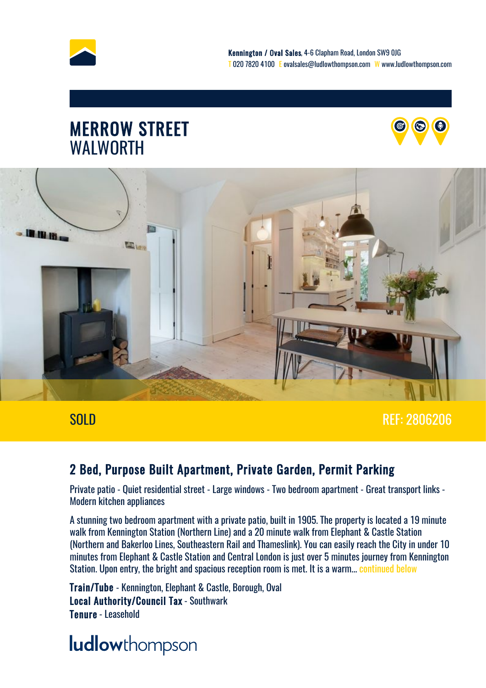

### MERROW STREET WALWORTH





### SOLD REF: 2806206

### 2 Bed, Purpose Built Apartment, Private Garden, Permit Parking

Private patio - Quiet residential street - Large windows - Two bedroom apartment - Great transport links - Modern kitchen appliances

A stunning two bedroom apartment with a private patio, built in 1905. The property is located a 19 minute walk from Kennington Station (Northern Line) and a 20 minute walk from Elephant & Castle Station (Northern and Bakerloo Lines, Southeastern Rail and Thameslink). You can easily reach the City in under 10 minutes from Elephant & Castle Station and Central London is just over 5 minutes journey from Kennington Station. Upon entry, the bright and spacious reception room is met. It is a warm... [continued below](#page-5-0)

Train/Tube - Kennington, Elephant & Castle, Borough, Oval Local Authority/Council Tax - Southwark Tenure - Leasehold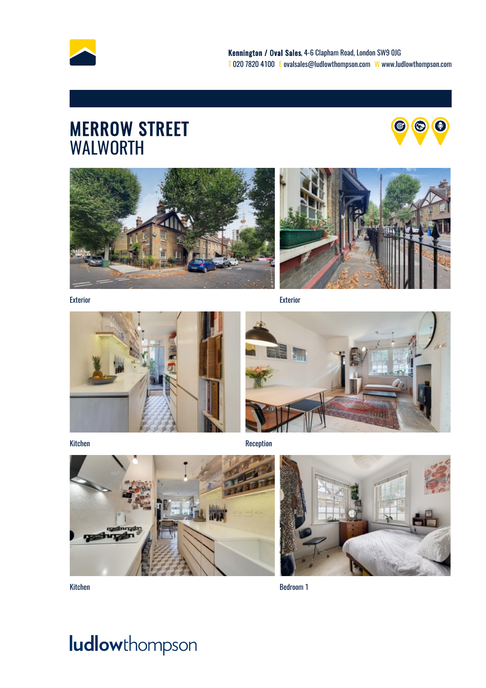

### MERROW STREET **A** WALWORTH







Exterior Exterior





Kitchen Reception





Kitchen Bedroom 1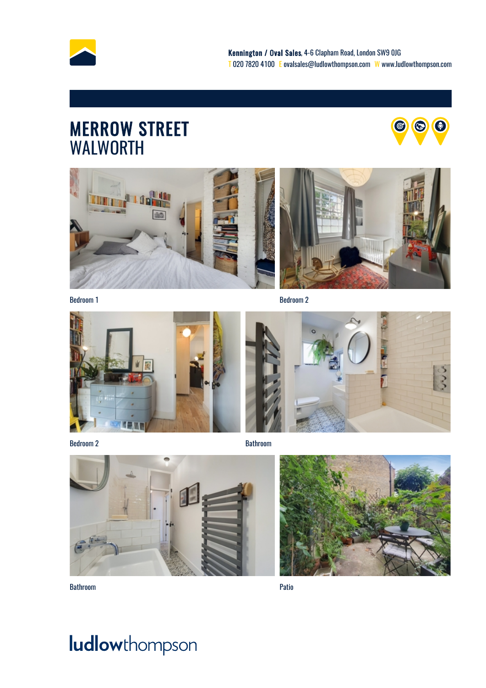

### MERROW STREET **A** WALWORTH



らこ





Bedroom 1 Bedroom 2 Bedroom 2 Bedroom 2 Bedroom 2 Bedroom 2 Bedroom 2 Bedroom 2 Bedroom 2 Bedroom 2 Bedroom 2 Bedroom 2 Bedroom 2 Bedroom 2 Bedroom 2 Bedroom 2 Bedroom 2 Bedroom 2 Bedroom 2 Bedroom 2 Bedroom 2 Bedroom 2 Be



Bedroom 2 and 2 Bathroom **Bathroom** Bathroom **Bathroom** Bathroom **Bathroom** Bathroom **Bathroom** 







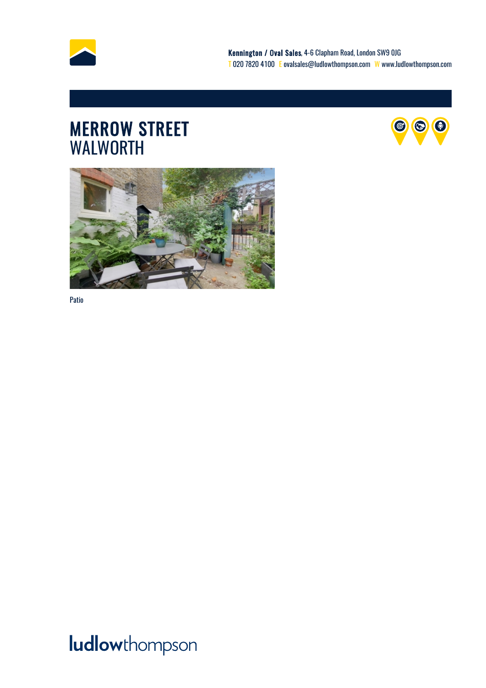

### MERROW STREET **A** WALWORTH





Patio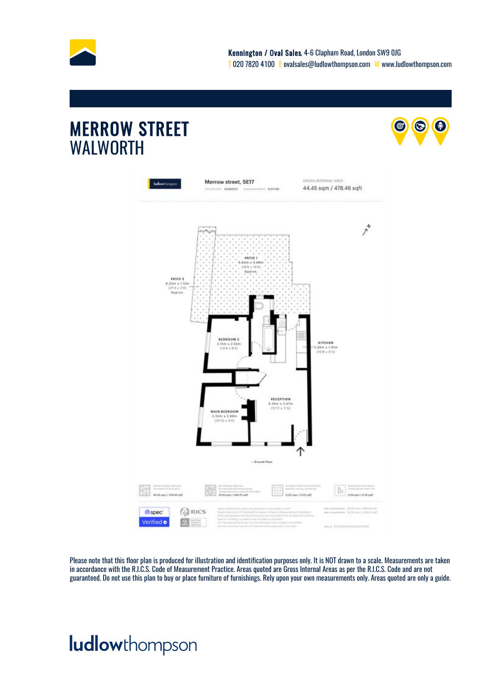

 $\odot$ 

 $\boldsymbol{\Theta}$ 

### MERROW STREET WALWORTH



Please note that this floor plan is produced for illustration and identification purposes only. It is NOT drawn to a scale. Measurements are taken in accordance with the R.I.C.S. Code of Measurement Practice. Areas quoted are Gross Internal Areas as per the R.I.C.S. Code and are not guaranteed. Do not use this plan to buy or place furniture of furnishings. Rely upon your own measurements only. Areas quoted are only a guide.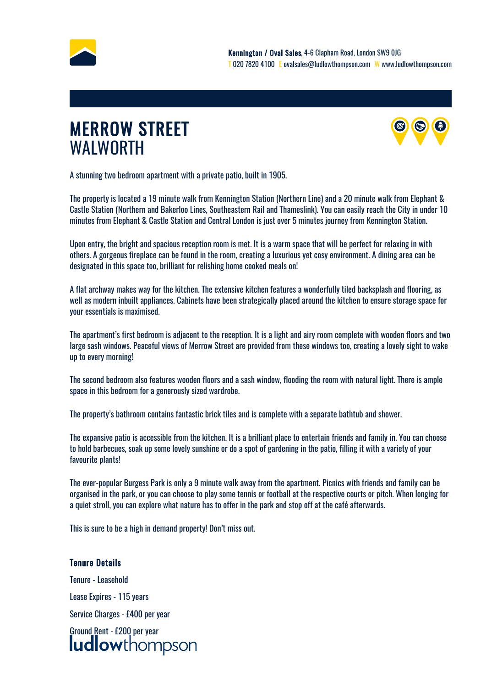<span id="page-5-0"></span>

### MERROW STREET WALWORTH



A stunning two bedroom apartment with a private patio, built in 1905.

The property is located a 19 minute walk from Kennington Station (Northern Line) and a 20 minute walk from Elephant & Castle Station (Northern and Bakerloo Lines, Southeastern Rail and Thameslink). You can easily reach the City in under 10 minutes from Elephant & Castle Station and Central London is just over 5 minutes journey from Kennington Station.

Upon entry, the bright and spacious reception room is met. It is a warm space that will be perfect for relaxing in with others. A gorgeous fireplace can be found in the room, creating a luxurious yet cosy environment. A dining area can be designated in this space too, brilliant for relishing home cooked meals on!

A flat archway makes way for the kitchen. The extensive kitchen features a wonderfully tiled backsplash and flooring, as well as modern inbuilt appliances. Cabinets have been strategically placed around the kitchen to ensure storage space for your essentials is maximised.

The apartment's first bedroom is adjacent to the reception. It is a light and airy room complete with wooden floors and two large sash windows. Peaceful views of Merrow Street are provided from these windows too, creating a lovely sight to wake up to every morning!

The second bedroom also features wooden floors and a sash window, flooding the room with natural light. There is ample space in this bedroom for a generously sized wardrobe.

The property's bathroom contains fantastic brick tiles and is complete with a separate bathtub and shower.

The expansive patio is accessible from the kitchen. It is a brilliant place to entertain friends and family in. You can choose to hold barbecues, soak up some lovely sunshine or do a spot of gardening in the patio, filling it with a variety of your favourite plants!

The ever-popular Burgess Park is only a 9 minute walk away from the apartment. Picnics with friends and family can be organised in the park, or you can choose to play some tennis or football at the respective courts or pitch. When longing for a quiet stroll, you can explore what nature has to offer in the park and stop off at the café afterwards.

This is sure to be a high in demand property! Don't miss out.

### Tenure Details

Tenure - Leasehold Lease Expires - 115 years Service Charges - £400 per year Ground Rent - £200 per year<br>**|udlow**thompson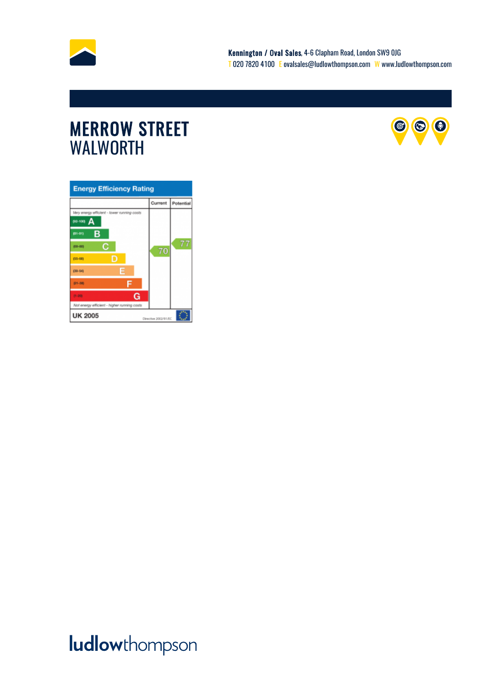

### MERROW STREET SERVICES AND STREET WALWORTH



| <b>Energy Efficiency Rating</b>             |         |           |
|---------------------------------------------|---------|-----------|
|                                             | Current | Potential |
| Very energy efficient - lower running costs |         |           |
| 912-100) A                                  |         |           |
| в<br>(81-91)                                |         |           |
| с<br>(00-00)                                | 70      |           |
| D<br>$(55 - 68)$                            |         |           |
| E<br>$(39 - 54)$                            |         |           |
| (21-30)                                     |         |           |
| G<br>$13 - 203$                             |         |           |
| Not energy efficient - higher running casts |         |           |
| <b>UK 2005</b><br>Directive 2002/91/EC      |         |           |